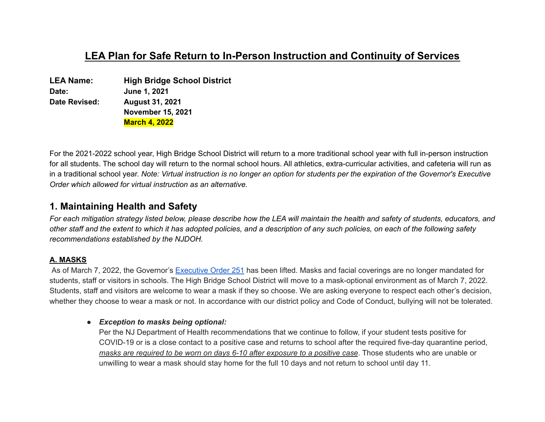# **LEA Plan for Safe Return to In-Person Instruction and Continuity of Services**

| LEA Name:     | <b>High Bridge School District</b> |
|---------------|------------------------------------|
| Date:         | June 1, 2021                       |
| Date Revised: | <b>August 31, 2021</b>             |
|               | <b>November 15, 2021</b>           |
|               | <b>March 4, 2022</b>               |

For the 2021-2022 school year, High Bridge School District will return to a more traditional school year with full in-person instruction for all students. The school day will return to the normal school hours. All athletics, extra-curricular activities, and cafeteria will run as in a traditional school year. Note: Virtual instruction is no longer an option for students per the expiration of the Governor's Executive *Order which allowed for virtual instruction as an alternative.*

## **1. Maintaining Health and Safety**

For each mitigation strategy listed below, please describe how the LEA will maintain the health and safety of students, educators, and other staff and the extent to which it has adopted policies, and a description of any such policies, on each of the following safety *recommendations established by the NJDOH.*

### **A. MASKS**

As of March 7, 2022, the Governor's [Executive](https://nj.gov/infobank/eo/056murphy/pdf/EO-251.pdf) Order 251 has been lifted. Masks and facial coverings are no longer mandated for students, staff or visitors in schools. The High Bridge School District will move to a mask-optional environment as of March 7, 2022. Students, staff and visitors are welcome to wear a mask if they so choose. We are asking everyone to respect each other's decision, whether they choose to wear a mask or not. In accordance with our district policy and Code of Conduct, bullying will not be tolerated.

### *● Exception to masks being optional:*

Per the NJ Department of Health recommendations that we continue to follow, if your student tests positive for COVID-19 or is a close contact to a positive case and returns to school after the required five-day quarantine period, *masks are required to be worn on days 6-10 after exposure to a positive case*. Those students who are unable or unwilling to wear a mask should stay home for the full 10 days and not return to school until day 11.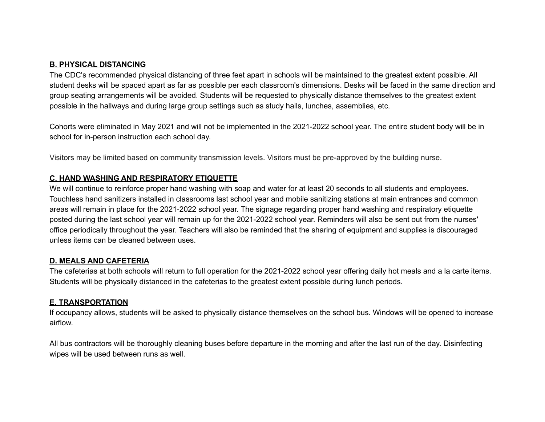#### **B. PHYSICAL DISTANCING**

The CDC's recommended physical distancing of three feet apart in schools will be maintained to the greatest extent possible. All student desks will be spaced apart as far as possible per each classroom's dimensions. Desks will be faced in the same direction and group seating arrangements will be avoided. Students will be requested to physically distance themselves to the greatest extent possible in the hallways and during large group settings such as study halls, lunches, assemblies, etc.

Cohorts were eliminated in May 2021 and will not be implemented in the 2021-2022 school year. The entire student body will be in school for in-person instruction each school day.

Visitors may be limited based on community transmission levels. Visitors must be pre-approved by the building nurse.

### **C. HAND WASHING AND RESPIRATORY ETIQUETTE**

We will continue to reinforce proper hand washing with soap and water for at least 20 seconds to all students and employees. Touchless hand sanitizers installed in classrooms last school year and mobile sanitizing stations at main entrances and common areas will remain in place for the 2021-2022 school year. The signage regarding proper hand washing and respiratory etiquette posted during the last school year will remain up for the 2021-2022 school year. Reminders will also be sent out from the nurses' office periodically throughout the year. Teachers will also be reminded that the sharing of equipment and supplies is discouraged unless items can be cleaned between uses.

#### **D. MEALS AND CAFETERIA**

The cafeterias at both schools will return to full operation for the 2021-2022 school year offering daily hot meals and a la carte items. Students will be physically distanced in the cafeterias to the greatest extent possible during lunch periods.

#### **E. TRANSPORTATION**

If occupancy allows, students will be asked to physically distance themselves on the school bus. Windows will be opened to increase airflow.

All bus contractors will be thoroughly cleaning buses before departure in the morning and after the last run of the day. Disinfecting wipes will be used between runs as well.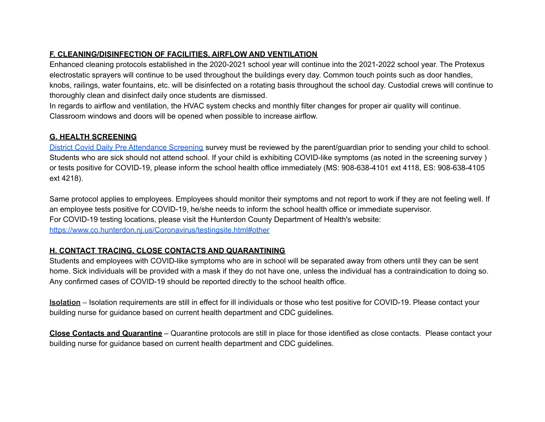## **F. CLEANING/DISINFECTION OF FACILITIES, AIRFLOW AND VENTILATION**

Enhanced cleaning protocols established in the 2020-2021 school year will continue into the 2021-2022 school year. The Protexus electrostatic sprayers will continue to be used throughout the buildings every day. Common touch points such as door handles, knobs, railings, water fountains, etc. will be disinfected on a rotating basis throughout the school day. Custodial crews will continue to thoroughly clean and disinfect daily once students are dismissed.

In regards to airflow and ventilation, the HVAC system checks and monthly filter changes for proper air quality will continue. Classroom windows and doors will be opened when possible to increase airflow.

## **G. HEALTH SCREENING**

District Covid Daily Pre [Attendance](https://docs.google.com/document/d/1VAb6qPf0kmrraQAp8fC9ZUo0_spN2l_gDz9iJ3xEZkU/edit?usp=sharing) Screening survey must be reviewed by the parent/guardian prior to sending your child to school. Students who are sick should not attend school. If your child is exhibiting COVID-like symptoms (as noted in the screening survey ) or tests positive for COVID-19, please inform the school health office immediately (MS: 908-638-4101 ext 4118, ES: 908-638-4105 ext 4218).

Same protocol applies to employees. Employees should monitor their symptoms and not report to work if they are not feeling well. If an employee tests positive for COVID-19, he/she needs to inform the school health office or immediate supervisor. For COVID-19 testing locations, please visit the Hunterdon County Department of Health's website: <https://www.co.hunterdon.nj.us/Coronavirus/testingsite.html#other>

## **H. CONTACT TRACING, CLOSE CONTACTS AND QUARANTINING**

Students and employees with COVID-like symptoms who are in school will be separated away from others until they can be sent home. Sick individuals will be provided with a mask if they do not have one, unless the individual has a contraindication to doing so. Any confirmed cases of COVID-19 should be reported directly to the school health office.

**Isolation** – Isolation requirements are still in effect for ill individuals or those who test positive for COVID-19. Please contact your building nurse for guidance based on current health department and CDC guidelines.

**Close Contacts and Quarantine** – Quarantine protocols are still in place for those identified as close contacts. Please contact your building nurse for guidance based on current health department and CDC guidelines.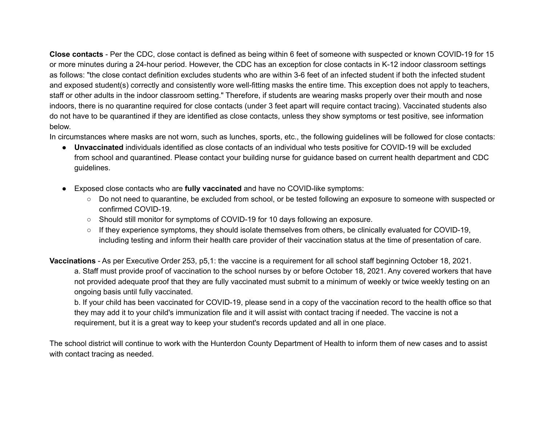**Close contacts** - Per the CDC, close contact is defined as being within 6 feet of someone with suspected or known COVID-19 for 15 or more minutes during a 24-hour period. However, the CDC has an exception for close contacts in K-12 indoor classroom settings as follows: "the close contact definition excludes students who are within 3-6 feet of an infected student if both the infected student and exposed student(s) correctly and consistently wore well-fitting masks the entire time. This exception does not apply to teachers, staff or other adults in the indoor classroom setting." Therefore, if students are wearing masks properly over their mouth and nose indoors, there is no quarantine required for close contacts (under 3 feet apart will require contact tracing). Vaccinated students also do not have to be quarantined if they are identified as close contacts, unless they show symptoms or test positive, see information below.

In circumstances where masks are not worn, such as lunches, sports, etc., the following guidelines will be followed for close contacts:

- **Unvaccinated** individuals identified as close contacts of an individual who tests positive for COVID-19 will be excluded from school and quarantined. Please contact your building nurse for guidance based on current health department and CDC guidelines.
- Exposed close contacts who are **fully vaccinated** and have no COVID-like symptoms:
	- Do not need to quarantine, be excluded from school, or be tested following an exposure to someone with suspected or confirmed COVID-19.
	- Should still monitor for symptoms of COVID-19 for 10 days following an exposure.
	- If they experience symptoms, they should isolate themselves from others, be clinically evaluated for COVID-19, including testing and inform their health care provider of their vaccination status at the time of presentation of care.

**Vaccinations** - As per Executive Order 253, p5,1: the vaccine is a requirement for all school staff beginning October 18, 2021. a. Staff must provide proof of vaccination to the school nurses by or before October 18, 2021. Any covered workers that have not provided adequate proof that they are fully vaccinated must submit to a minimum of weekly or twice weekly testing on an ongoing basis until fully vaccinated.

b. If your child has been vaccinated for COVID-19, please send in a copy of the vaccination record to the health office so that they may add it to your child's immunization file and it will assist with contact tracing if needed. The vaccine is not a requirement, but it is a great way to keep your student's records updated and all in one place.

The school district will continue to work with the Hunterdon County Department of Health to inform them of new cases and to assist with contact tracing as needed.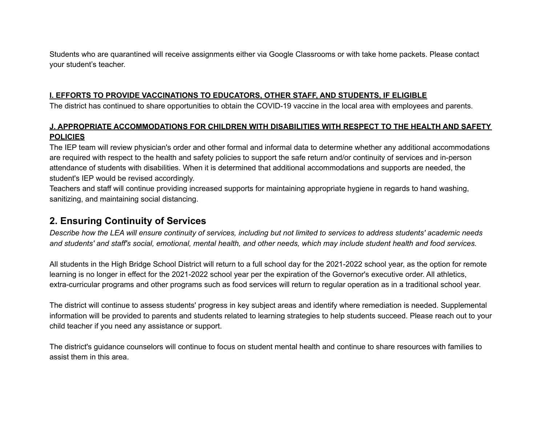Students who are quarantined will receive assignments either via Google Classrooms or with take home packets. Please contact your student's teacher.

### **I. EFFORTS TO PROVIDE VACCINATIONS TO EDUCATORS, OTHER STAFF, AND STUDENTS, IF ELIGIBLE**

The district has continued to share opportunities to obtain the COVID-19 vaccine in the local area with employees and parents.

## **J. APPROPRIATE ACCOMMODATIONS FOR CHILDREN WITH DISABILITIES WITH RESPECT TO THE HEALTH AND SAFETY POLICIES**

The IEP team will review physician's order and other formal and informal data to determine whether any additional accommodations are required with respect to the health and safety policies to support the safe return and/or continuity of services and in-person attendance of students with disabilities. When it is determined that additional accommodations and supports are needed, the student's IEP would be revised accordingly.

Teachers and staff will continue providing increased supports for maintaining appropriate hygiene in regards to hand washing, sanitizing, and maintaining social distancing.

## **2. Ensuring Continuity of Services**

Describe how the LEA will ensure continuity of services, including but not limited to services to address students' academic needs and students' and staff's social, emotional, mental health, and other needs, which may include student health and food services.

All students in the High Bridge School District will return to a full school day for the 2021-2022 school year, as the option for remote learning is no longer in effect for the 2021-2022 school year per the expiration of the Governor's executive order. All athletics, extra-curricular programs and other programs such as food services will return to regular operation as in a traditional school year.

The district will continue to assess students' progress in key subject areas and identify where remediation is needed. Supplemental information will be provided to parents and students related to learning strategies to help students succeed. Please reach out to your child teacher if you need any assistance or support.

The district's guidance counselors will continue to focus on student mental health and continue to share resources with families to assist them in this area.